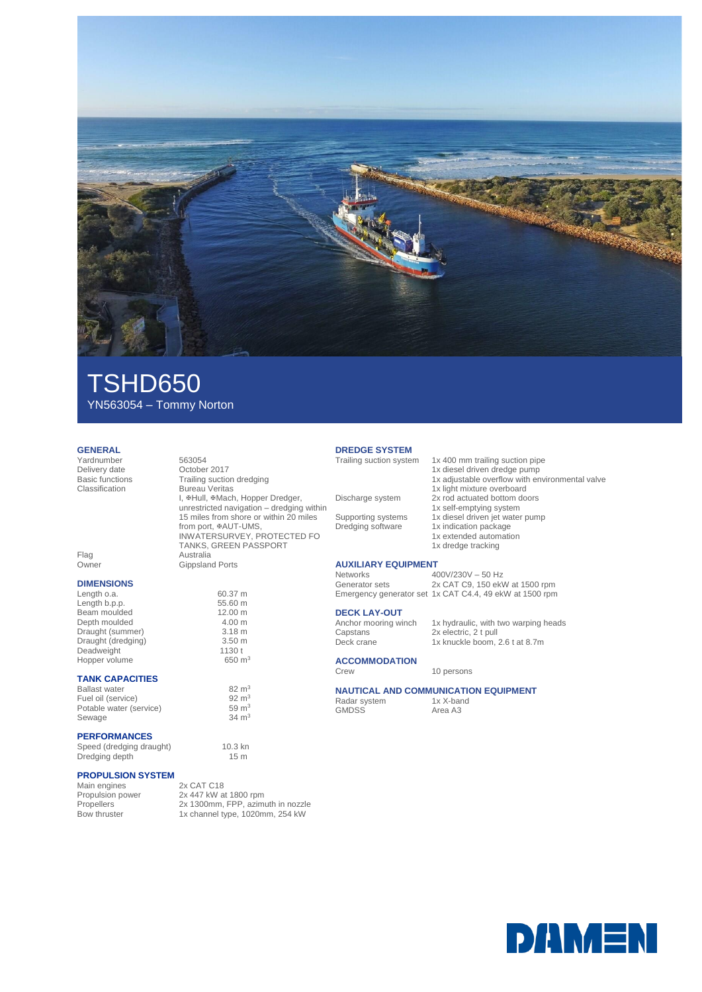

## TSHD650 YN563054 – Tommy Norton

Bureau Veritas

Gippsland Ports

from port, #AUT-UMS,

I, #Hull, #Mach, Hopper Dredger, unrestricted navigation – dredging within 15 miles from shore or within 20 miles

INWATERSURVEY, PROTECTED FO TANKS, GREEN PASSPORT

### **GENERAL**

Yardnumber 563054 Delivery date October 2017<br>Basic functions Trailing suction Basic functions Trailing suction dredging<br>
Classification Bureau Veritas

| Flag  | Australia |
|-------|-----------|
| Owner | Gippslan  |
|       |           |

## **DIMENSIONS**

Length o.a. 60.37 m Length b.p.p. 55.60 m Beam moulded 12.00 m<br>
Depth moulded 4.00 m Depth moulded 4.00 m<br>Draught (summer) 3.18 m Draught (summer) 3.18 m<br>Draught (dredging) 3.50 m Draught (dredging) 3.50 m<br>Deadweight 1130 t Deadweight Hopper volume 650 m<sup>3</sup>

## **TANK CAPACITIES**

Ballast water  $82 \text{ m}^3$ <br>Fuel oil (service)  $92 \text{ m}^3$ Fuel oil (service)  $92 \text{ m}^3$ <br>Potable water (service)  $92 \text{ m}^3$ Potable water (service) 59 m<sup>3</sup><br>Sewage 34 m<sup>3</sup> Sewage

### **PERFORMANCES**

Speed (dredging draught) 10.3 kn<br>Dredging depth 15 m Dredging depth

#### **PROPULSION SYSTEM**

| Main engines     | 2x CAT C18                        |
|------------------|-----------------------------------|
| Propulsion power | 2x 447 kW at 1800 rpm             |
| Propellers       | 2x 1300mm, FPP, azimuth in nozzle |
| Bow thruster     | 1x channel type, 1020mm, 254 kW   |
|                  |                                   |

## **DREDGE SYSTEM**

## **AUXILIARY EQUIPMENT**

#### **DECK LAY-OUT**

Capstans 2x electric, 2 t pull

**ACCOMMODATION**

## **NAUTICAL AND COMMUNICATION EQUIPMENT**<br>Radar system  $1x$  X-band

Radar system<br>GMDSS

Area A3

**DAMEN** 

# 1x 400 mm trailing suction pipe

- 1x diesel driven dredge pump 1x adjustable overflow with environmental valve 1x light mixture overboard Discharge system 2x rod actuated bottom doors 1x self-emptying system Supporting systems 1x diesel driven jet water pump Dredging software 1x indication package 1x extended automation
	- 1x dredge tracking

Networks 400V/230V – 50 Hz<br>Generator sets 2x CAT C9, 150 ekV 2x CAT C9, 150 ekW at 1500 rpm Emergency generator set 1x CAT C4.4, 49 ekW at 1500 rpm

Anchor mooring winch 1x hydraulic, with two warping heads

Deck crane 1x knuckle boom, 2.6 t at 8.7m

# Crew 10 persons